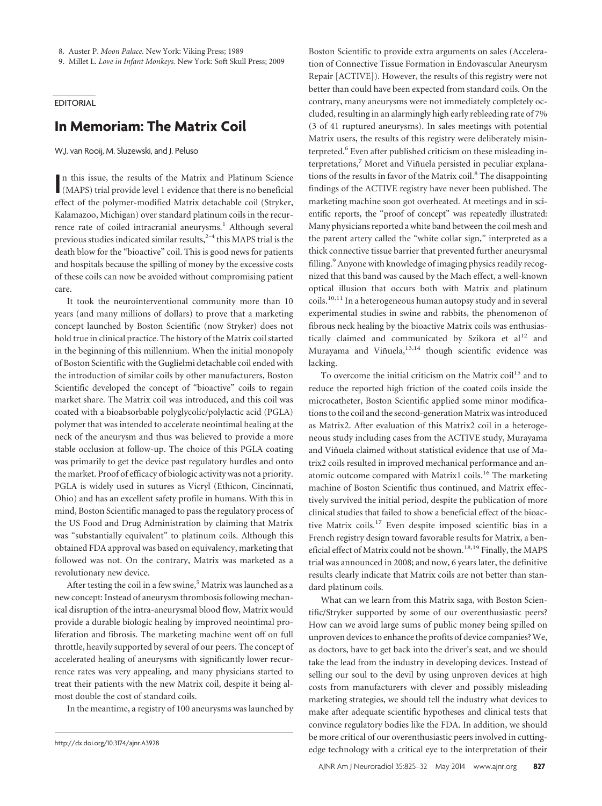8. Auster P. *Moon Palace.* New York: Viking Press; 1989

9. Millet L. *Love in Infant Monkeys.* New York: Soft Skull Press; 2009

### EDITORIAL

## **In Memoriam: The Matrix Coil**

W.J. van Rooij, M. Sluzewski, and J. Peluso

In this issue, the results of the Matrix and Platinum Science (MAPS) trial provide level 1 evidence that there is no beneficial (MAPS) trial provide level 1 evidence that there is no beneficial effect of the polymer-modified Matrix detachable coil (Stryker, Kalamazoo, Michigan) over standard platinum coils in the recurrence rate of coiled intracranial aneurysms.<sup>1</sup> Although several previous studies indicated similar results, $^{2-4}$  this MAPS trial is the death blow for the "bioactive" coil. This is good news for patients and hospitals because the spilling of money by the excessive costs of these coils can now be avoided without compromising patient care.

It took the neurointerventional community more than 10 years (and many millions of dollars) to prove that a marketing concept launched by Boston Scientific (now Stryker) does not hold true in clinical practice. The history of the Matrix coil started in the beginning of this millennium. When the initial monopoly of Boston Scientific with the Guglielmi detachable coil ended with the introduction of similar coils by other manufacturers, Boston Scientific developed the concept of "bioactive" coils to regain market share. The Matrix coil was introduced, and this coil was coated with a bioabsorbable polyglycolic/polylactic acid (PGLA) polymer that was intended to accelerate neointimal healing at the neck of the aneurysm and thus was believed to provide a more stable occlusion at follow-up. The choice of this PGLA coating was primarily to get the device past regulatory hurdles and onto the market. Proof of efficacy of biologic activity was not a priority. PGLA is widely used in sutures as Vicryl (Ethicon, Cincinnati, Ohio) and has an excellent safety profile in humans. With this in mind, Boston Scientific managed to pass the regulatory process of the US Food and Drug Administration by claiming that Matrix was "substantially equivalent" to platinum coils. Although this obtained FDA approval was based on equivalency, marketing that followed was not. On the contrary, Matrix was marketed as a revolutionary new device.

After testing the coil in a few swine,<sup>5</sup> Matrix was launched as a new concept: Instead of aneurysm thrombosis following mechanical disruption of the intra-aneurysmal blood flow, Matrix would provide a durable biologic healing by improved neointimal proliferation and fibrosis. The marketing machine went off on full throttle, heavily supported by several of our peers. The concept of accelerated healing of aneurysms with significantly lower recurrence rates was very appealing, and many physicians started to treat their patients with the new Matrix coil, despite it being almost double the cost of standard coils.

In the meantime, a registry of 100 aneurysms was launched by

Boston Scientific to provide extra arguments on sales (Acceleration of Connective Tissue Formation in Endovascular Aneurysm Repair [ACTIVE]). However, the results of this registry were not better than could have been expected from standard coils. On the contrary, many aneurysms were not immediately completely occluded, resulting in an alarmingly high early rebleeding rate of 7% (3 of 41 ruptured aneurysms). In sales meetings with potential Matrix users, the results of this registry were deliberately misinterpreted.<sup>6</sup> Even after published criticism on these misleading interpretations,<sup>7</sup> Moret and Viñuela persisted in peculiar explanations of the results in favor of the Matrix coil.<sup>8</sup> The disappointing findings of the ACTIVE registry have never been published. The marketing machine soon got overheated. At meetings and in scientific reports, the "proof of concept" was repeatedly illustrated: Many physicians reported a white band between the coil mesh and the parent artery called the "white collar sign," interpreted as a thick connective tissue barrier that prevented further aneurysmal filling.<sup>9</sup> Anyone with knowledge of imaging physics readily recognized that this band was caused by the Mach effect, a well-known optical illusion that occurs both with Matrix and platinum coils.10,11 In a heterogeneous human autopsy study and in several experimental studies in swine and rabbits, the phenomenon of fibrous neck healing by the bioactive Matrix coils was enthusiastically claimed and communicated by Szikora et  $al<sup>12</sup>$  and Murayama and Viñuela,<sup>13,14</sup> though scientific evidence was lacking.

To overcome the initial criticism on the Matrix coil<sup>15</sup> and to reduce the reported high friction of the coated coils inside the microcatheter, Boston Scientific applied some minor modifications to the coil and the second-generation Matrix was introduced as Matrix2. After evaluation of this Matrix2 coil in a heterogeneous study including cases from the ACTIVE study, Murayama and Viňuela claimed without statistical evidence that use of Matrix2 coils resulted in improved mechanical performance and anatomic outcome compared with Matrix1 coils.<sup>16</sup> The marketing machine of Boston Scientific thus continued, and Matrix effectively survived the initial period, despite the publication of more clinical studies that failed to show a beneficial effect of the bioactive Matrix coils.17 Even despite imposed scientific bias in a French registry design toward favorable results for Matrix, a beneficial effect of Matrix could not be shown.<sup>18,19</sup> Finally, the MAPS trial was announced in 2008; and now, 6 years later, the definitive results clearly indicate that Matrix coils are not better than standard platinum coils.

What can we learn from this Matrix saga, with Boston Scientific/Stryker supported by some of our overenthusiastic peers? How can we avoid large sums of public money being spilled on unproven devices to enhance the profits of device companies? We, as doctors, have to get back into the driver's seat, and we should take the lead from the industry in developing devices. Instead of selling our soul to the devil by using unproven devices at high costs from manufacturers with clever and possibly misleading marketing strategies, we should tell the industry what devices to make after adequate scientific hypotheses and clinical tests that convince regulatory bodies like the FDA. In addition, we should be more critical of our overenthusiastic peers involved in cuttingedge technology with a critical eye to the interpretation of their http://dx.doi.org/10.3174/ajnr.A3928<br>edge technology with a critical eye to the interpretation of their